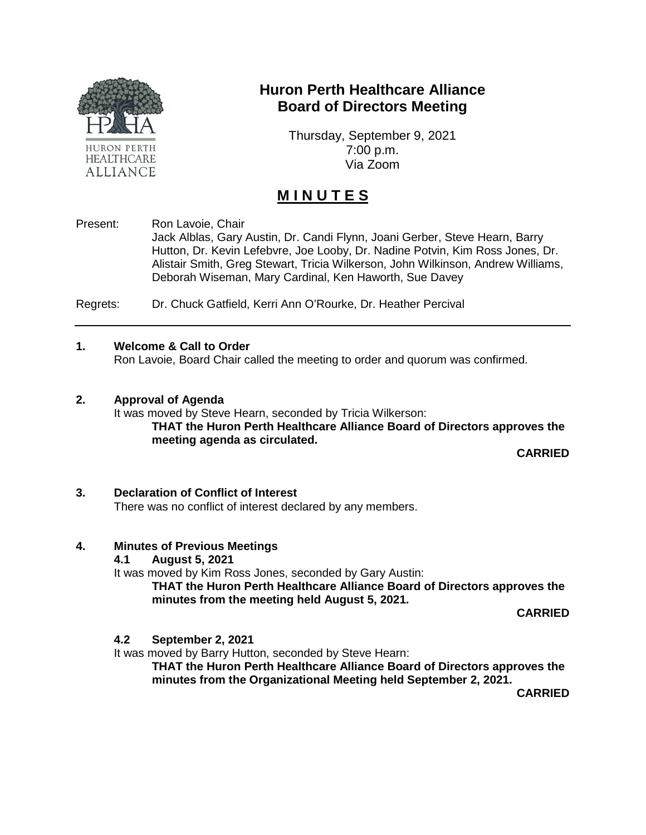

## **Huron Perth Healthcare Alliance Board of Directors Meeting**

Thursday, September 9, 2021 7:00 p.m. Via Zoom

# **M I N U T E S**

Present: Ron Lavoie, Chair

Jack Alblas, Gary Austin, Dr. Candi Flynn, Joani Gerber, Steve Hearn, Barry Hutton, Dr. Kevin Lefebvre, Joe Looby, Dr. Nadine Potvin, Kim Ross Jones, Dr. Alistair Smith, Greg Stewart, Tricia Wilkerson, John Wilkinson, Andrew Williams, Deborah Wiseman, Mary Cardinal, Ken Haworth, Sue Davey

Regrets: Dr. Chuck Gatfield, Kerri Ann O'Rourke, Dr. Heather Percival

#### **1. Welcome & Call to Order**

Ron Lavoie, Board Chair called the meeting to order and quorum was confirmed.

#### **2. Approval of Agenda**

It was moved by Steve Hearn, seconded by Tricia Wilkerson: **THAT the Huron Perth Healthcare Alliance Board of Directors approves the meeting agenda as circulated.** 

**CARRIED**

#### **3. Declaration of Conflict of Interest** There was no conflict of interest declared by any members.

#### **4. Minutes of Previous Meetings**

**4.1 August 5, 2021**

It was moved by Kim Ross Jones, seconded by Gary Austin:

**THAT the Huron Perth Healthcare Alliance Board of Directors approves the minutes from the meeting held August 5, 2021.** 

**CARRIED**

#### **4.2 September 2, 2021**

It was moved by Barry Hutton, seconded by Steve Hearn:

**THAT the Huron Perth Healthcare Alliance Board of Directors approves the minutes from the Organizational Meeting held September 2, 2021.** 

**CARRIED**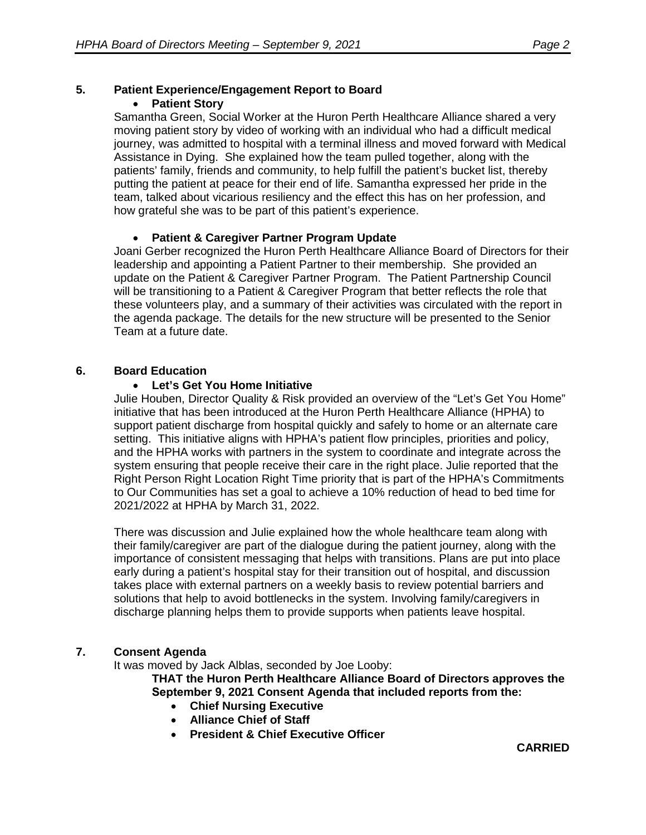#### **5. Patient Experience/Engagement Report to Board** • **Patient Story**

Samantha Green, Social Worker at the Huron Perth Healthcare Alliance shared a very moving patient story by video of working with an individual who had a difficult medical journey, was admitted to hospital with a terminal illness and moved forward with Medical Assistance in Dying. She explained how the team pulled together, along with the patients' family, friends and community, to help fulfill the patient's bucket list, thereby putting the patient at peace for their end of life. Samantha expressed her pride in the team, talked about vicarious resiliency and the effect this has on her profession, and how grateful she was to be part of this patient's experience.

## • **Patient & Caregiver Partner Program Update**

Joani Gerber recognized the Huron Perth Healthcare Alliance Board of Directors for their leadership and appointing a Patient Partner to their membership. She provided an update on the Patient & Caregiver Partner Program. The Patient Partnership Council will be transitioning to a Patient & Caregiver Program that better reflects the role that these volunteers play, and a summary of their activities was circulated with the report in the agenda package. The details for the new structure will be presented to the Senior Team at a future date.

## **6. Board Education**

#### • **Let's Get You Home Initiative**

Julie Houben, Director Quality & Risk provided an overview of the "Let's Get You Home" initiative that has been introduced at the Huron Perth Healthcare Alliance (HPHA) to support patient discharge from hospital quickly and safely to home or an alternate care setting. This initiative aligns with HPHA's patient flow principles, priorities and policy, and the HPHA works with partners in the system to coordinate and integrate across the system ensuring that people receive their care in the right place. Julie reported that the Right Person Right Location Right Time priority that is part of the HPHA's Commitments to Our Communities has set a goal to achieve a 10% reduction of head to bed time for 2021/2022 at HPHA by March 31, 2022.

There was discussion and Julie explained how the whole healthcare team along with their family/caregiver are part of the dialogue during the patient journey, along with the importance of consistent messaging that helps with transitions. Plans are put into place early during a patient's hospital stay for their transition out of hospital, and discussion takes place with external partners on a weekly basis to review potential barriers and solutions that help to avoid bottlenecks in the system. Involving family/caregivers in discharge planning helps them to provide supports when patients leave hospital.

## **7. Consent Agenda**

It was moved by Jack Alblas, seconded by Joe Looby:

**THAT the Huron Perth Healthcare Alliance Board of Directors approves the September 9, 2021 Consent Agenda that included reports from the:**

- **Chief Nursing Executive**
- **Alliance Chief of Staff**
- **President & Chief Executive Officer**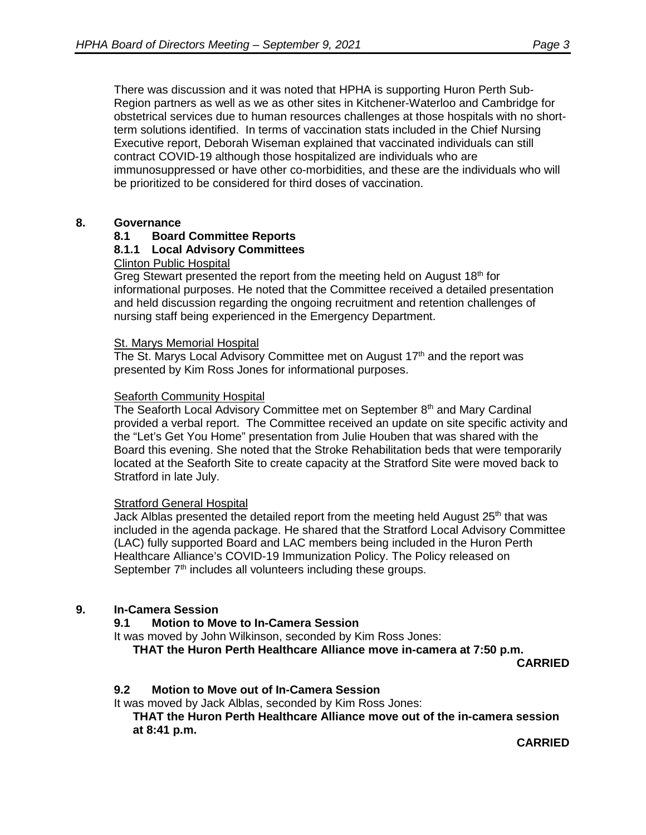There was discussion and it was noted that HPHA is supporting Huron Perth Sub-Region partners as well as we as other sites in Kitchener-Waterloo and Cambridge for obstetrical services due to human resources challenges at those hospitals with no shortterm solutions identified. In terms of vaccination stats included in the Chief Nursing Executive report, Deborah Wiseman explained that vaccinated individuals can still contract COVID-19 although those hospitalized are individuals who are immunosuppressed or have other co-morbidities, and these are the individuals who will be prioritized to be considered for third doses of vaccination.

#### **8. Governance**

#### **8.1 Board Committee Reports**

#### **8.1.1 Local Advisory Committees**

#### Clinton Public Hospital

Greg Stewart presented the report from the meeting held on August  $18<sup>th</sup>$  for informational purposes. He noted that the Committee received a detailed presentation and held discussion regarding the ongoing recruitment and retention challenges of nursing staff being experienced in the Emergency Department.

#### St. Marys Memorial Hospital

The St. Marys Local Advisory Committee met on August 17<sup>th</sup> and the report was presented by Kim Ross Jones for informational purposes.

#### Seaforth Community Hospital

The Seaforth Local Advisory Committee met on September 8<sup>th</sup> and Mary Cardinal provided a verbal report. The Committee received an update on site specific activity and the "Let's Get You Home" presentation from Julie Houben that was shared with the Board this evening. She noted that the Stroke Rehabilitation beds that were temporarily located at the Seaforth Site to create capacity at the Stratford Site were moved back to Stratford in late July.

#### Stratford General Hospital

Jack Alblas presented the detailed report from the meeting held August 25<sup>th</sup> that was included in the agenda package. He shared that the Stratford Local Advisory Committee (LAC) fully supported Board and LAC members being included in the Huron Perth Healthcare Alliance's COVID-19 Immunization Policy. The Policy released on September 7<sup>th</sup> includes all volunteers including these groups.

#### **9. In-Camera Session**

#### **9.1 Motion to Move to In-Camera Session**

It was moved by John Wilkinson, seconded by Kim Ross Jones:

**THAT the Huron Perth Healthcare Alliance move in-camera at 7:50 p.m.**

**CARRIED**

## **9.2 Motion to Move out of In-Camera Session**

It was moved by Jack Alblas, seconded by Kim Ross Jones:

**THAT the Huron Perth Healthcare Alliance move out of the in-camera session at 8:41 p.m.** 

**CARRIED**